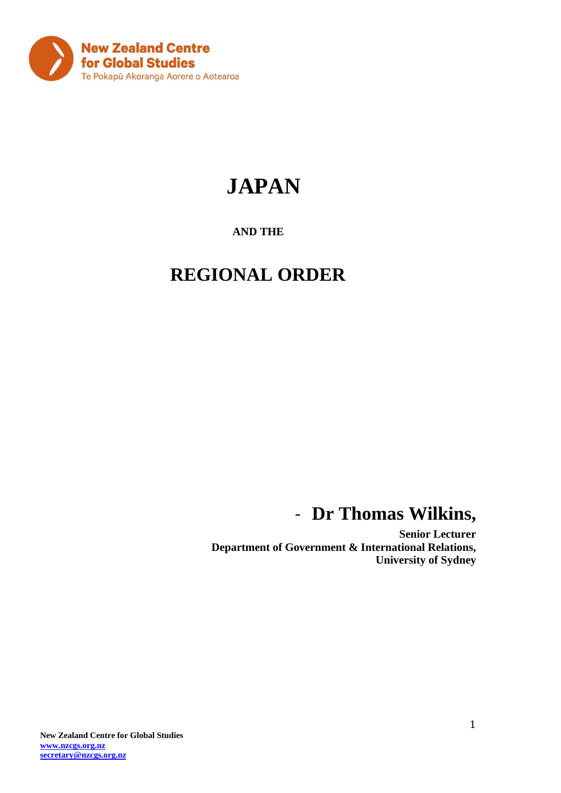

# **JAPAN**

### **AND THE**

## **REGIONAL ORDER**

## - **Dr Thomas Wilkins,**

**Senior Lecturer Department of Government & International Relations, University of Sydney**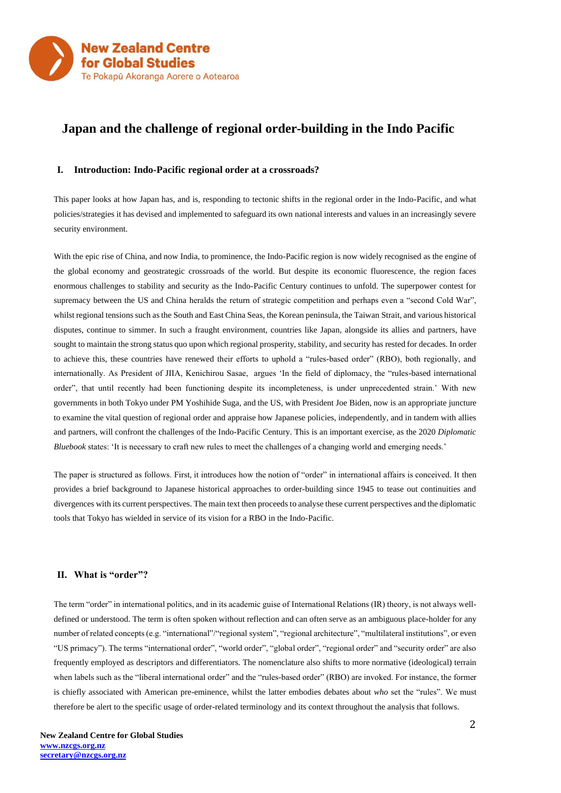

### **Japan and the challenge of regional order-building in the Indo Pacific**

#### **I. Introduction: Indo-Pacific regional order at a crossroads?**

This paper looks at how Japan has, and is, responding to tectonic shifts in the regional order in the Indo-Pacific, and what policies/strategies it has devised and implemented to safeguard its own national interests and values in an increasingly severe security environment.

With the epic rise of China, and now India, to prominence, the Indo-Pacific region is now widely recognised as the engine of the global economy and geostrategic crossroads of the world. But despite its economic fluorescence, the region faces enormous challenges to stability and security as the Indo-Pacific Century continues to unfold. The superpower contest for supremacy between the US and China heralds the return of strategic competition and perhaps even a "second Cold War", whilst regional tensions such as the South and East China Seas, the Korean peninsula, the Taiwan Strait, and various historical disputes, continue to simmer. In such a fraught environment, countries like Japan, alongside its allies and partners, have sought to maintain the strong status quo upon which regional prosperity, stability, and security has rested for decades. In order to achieve this, these countries have renewed their efforts to uphold a "rules-based order" (RBO), both regionally, and internationally. As President of JIIA, Kenichirou Sasae, argues 'In the field of diplomacy, the "rules-based international order", that until recently had been functioning despite its incompleteness, is under unprecedented strain.' With new governments in both Tokyo under PM Yoshihide Suga, and the US, with President Joe Biden, now is an appropriate juncture to examine the vital question of regional order and appraise how Japanese policies, independently, and in tandem with allies and partners, will confront the challenges of the Indo-Pacific Century. This is an important exercise, as the 2020 *Diplomatic Bluebook* states: 'It is necessary to craft new rules to meet the challenges of a changing world and emerging needs.'

The paper is structured as follows. First, it introduces how the notion of "order" in international affairs is conceived. It then provides a brief background to Japanese historical approaches to order-building since 1945 to tease out continuities and divergences with its current perspectives. The main text then proceeds to analyse these current perspectives and the diplomatic tools that Tokyo has wielded in service of its vision for a RBO in the Indo-Pacific.

#### **II. What is "order"?**

The term "order" in international politics, and in its academic guise of International Relations (IR) theory, is not always welldefined or understood. The term is often spoken without reflection and can often serve as an ambiguous place-holder for any number of related concepts (e.g. "international"/"regional system", "regional architecture", "multilateral institutions", or even "US primacy"). The terms "international order", "world order", "global order", "regional order" and "security order" are also frequently employed as descriptors and differentiators. The nomenclature also shifts to more normative (ideological) terrain when labels such as the "liberal international order" and the "rules-based order" (RBO) are invoked. For instance, the former is chiefly associated with American pre-eminence, whilst the latter embodies debates about *who* set the "rules". We must therefore be alert to the specific usage of order-related terminology and its context throughout the analysis that follows.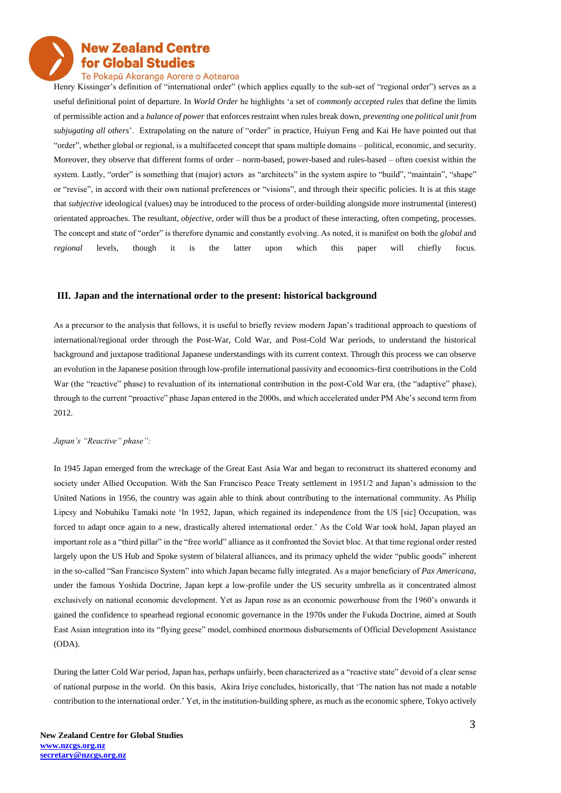#### Te Pokapū Akoranga Aorere o Aotearoa

Henry Kissinger's definition of "international order" (which applies equally to the sub-set of "regional order") serves as a useful definitional point of departure. In *World Order* he highlights 'a set of *commonly accepted rules* that define the limits of permissible action and a *balance of power* that enforces restraint when rules break down, *preventing one political unit from subjugating all others*'. Extrapolating on the nature of "order" in practice, Huiyun Feng and Kai He have pointed out that "order", whether global or regional, is a multifaceted concept that spans multiple domains – political, economic, and security. Moreover, they observe that different forms of order – norm-based, power-based and rules-based – often coexist within the system. Lastly, "order" is something that (major) actors as "architects" in the system aspire to "build", "maintain", "shape" or "revise", in accord with their own national preferences or "visions", and through their specific policies. It is at this stage that *subjective* ideological (values) may be introduced to the process of order-building alongside more instrumental (interest) orientated approaches. The resultant, *objective*, order will thus be a product of these interacting, often competing, processes. The concept and state of "order" is therefore dynamic and constantly evolving. As noted, it is manifest on both the *global* and *regional* levels, though it is the latter upon which this paper will chiefly focus.

#### **III. Japan and the international order to the present: historical background**

As a precursor to the analysis that follows, it is useful to briefly review modern Japan's traditional approach to questions of international/regional order through the Post-War, Cold War, and Post-Cold War periods, to understand the historical background and juxtapose traditional Japanese understandings with its current context. Through this process we can observe an evolution in the Japanese position through low-profile international passivity and economics-first contributions in the Cold War (the "reactive" phase) to revaluation of its international contribution in the post-Cold War era, (the "adaptive" phase), through to the current "proactive" phase Japan entered in the 2000s, and which accelerated under PM Abe's second term from 2012.

#### *Japan's "Reactive" phase":*

In 1945 Japan emerged from the wreckage of the Great East Asia War and began to reconstruct its shattered economy and society under Allied Occupation. With the San Francisco Peace Treaty settlement in 1951/2 and Japan's admission to the United Nations in 1956, the country was again able to think about contributing to the international community. As Philip Lipcsy and Nobuhiku Tamaki note 'In 1952, Japan, which regained its independence from the US [sic] Occupation, was forced to adapt once again to a new, drastically altered international order.' As the Cold War took hold, Japan played an important role as a "third pillar" in the "free world" alliance as it confronted the Soviet bloc. At that time regional order rested largely upon the US Hub and Spoke system of bilateral alliances, and its primacy upheld the wider "public goods" inherent in the so-called "San Francisco System" into which Japan became fully integrated. As a major beneficiary of *Pax Americana*, under the famous Yoshida Doctrine, Japan kept a low-profile under the US security umbrella as it concentrated almost exclusively on national economic development. Yet as Japan rose as an economic powerhouse from the 1960's onwards it gained the confidence to spearhead regional economic governance in the 1970s under the Fukuda Doctrine, aimed at South East Asian integration into its "flying geese" model, combined enormous disbursements of Official Development Assistance (ODA).

During the latter Cold War period, Japan has, perhaps unfairly, been characterized as a "reactive state" devoid of a clear sense of national purpose in the world. On this basis, Akira Iriye concludes, historically, that 'The nation has not made a notable contribution to the international order.' Yet, in the institution-building sphere, as much as the economic sphere, Tokyo actively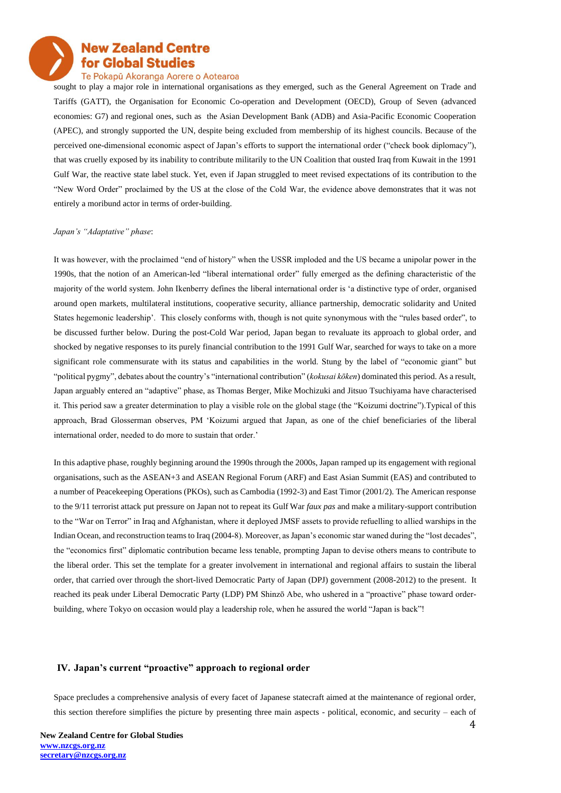#### Te Pokapū Akoranga Aorere o Aotearoa

sought to play a major role in international organisations as they emerged, such as the General Agreement on Trade and Tariffs (GATT), the Organisation for Economic Co-operation and Development (OECD), Group of Seven (advanced economies: G7) and regional ones, such as the Asian Development Bank (ADB) and Asia-Pacific Economic Cooperation (APEC), and strongly supported the UN, despite being excluded from membership of its highest councils. Because of the perceived one-dimensional economic aspect of Japan's efforts to support the international order ("check book diplomacy"), that was cruelly exposed by its inability to contribute militarily to the UN Coalition that ousted Iraq from Kuwait in the 1991 Gulf War, the reactive state label stuck. Yet, even if Japan struggled to meet revised expectations of its contribution to the "New Word Order" proclaimed by the US at the close of the Cold War, the evidence above demonstrates that it was not entirely a moribund actor in terms of order-building.

#### *Japan's "Adaptative" phase*:

It was however, with the proclaimed "end of history" when the USSR imploded and the US became a unipolar power in the 1990s, that the notion of an American-led "liberal international order" fully emerged as the defining characteristic of the majority of the world system. John Ikenberry defines the liberal international order is 'a distinctive type of order, organised around open markets, multilateral institutions, cooperative security, alliance partnership, democratic solidarity and United States hegemonic leadership'. This closely conforms with, though is not quite synonymous with the "rules based order", to be discussed further below. During the post-Cold War period, Japan began to revaluate its approach to global order, and shocked by negative responses to its purely financial contribution to the 1991 Gulf War, searched for ways to take on a more significant role commensurate with its status and capabilities in the world. Stung by the label of "economic giant" but "political pygmy", debates about the country's "international contribution" (*kokusai kōken*) dominated this period. As a result, Japan arguably entered an "adaptive" phase, as Thomas Berger, Mike Mochizuki and Jitsuo Tsuchiyama have characterised it. This period saw a greater determination to play a visible role on the global stage (the "Koizumi doctrine").Typical of this approach, Brad Glosserman observes, PM 'Koizumi argued that Japan, as one of the chief beneficiaries of the liberal international order, needed to do more to sustain that order.'

In this adaptive phase, roughly beginning around the 1990s through the 2000s, Japan ramped up its engagement with regional organisations, such as the ASEAN+3 and ASEAN Regional Forum (ARF) and East Asian Summit (EAS) and contributed to a number of Peacekeeping Operations (PKOs), such as Cambodia (1992-3) and East Timor (2001/2). The American response to the 9/11 terrorist attack put pressure on Japan not to repeat its Gulf War *faux pas* and make a military-support contribution to the "War on Terror" in Iraq and Afghanistan, where it deployed JMSF assets to provide refuelling to allied warships in the Indian Ocean, and reconstruction teams to Iraq (2004-8). Moreover, as Japan's economic star waned during the "lost decades", the "economics first" diplomatic contribution became less tenable, prompting Japan to devise others means to contribute to the liberal order. This set the template for a greater involvement in international and regional affairs to sustain the liberal order, that carried over through the short-lived Democratic Party of Japan (DPJ) government (2008-2012) to the present. It reached its peak under Liberal Democratic Party (LDP) PM Shinzō Abe, who ushered in a "proactive" phase toward orderbuilding, where Tokyo on occasion would play a leadership role, when he assured the world "Japan is back"!

#### **IV. Japan's current "proactive" approach to regional order**

Space precludes a comprehensive analysis of every facet of Japanese statecraft aimed at the maintenance of regional order, this section therefore simplifies the picture by presenting three main aspects - political, economic, and security – each of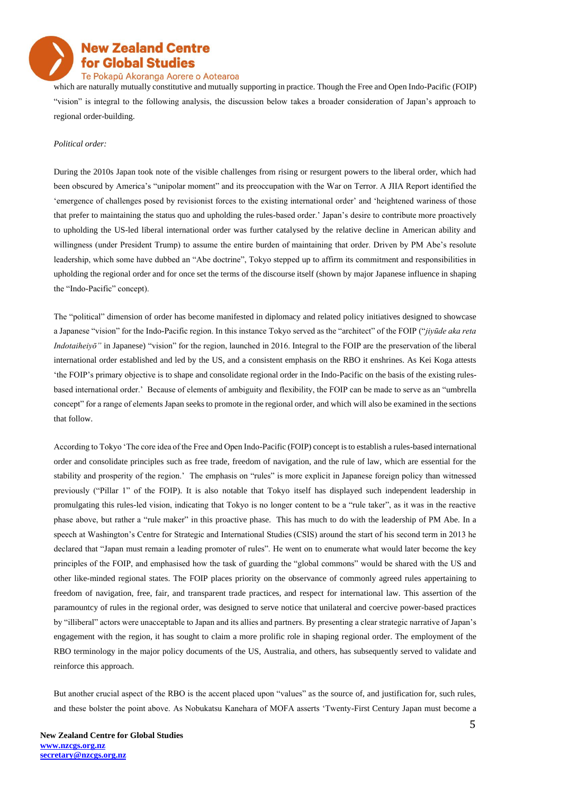#### Te Pokapū Akoranga Aorere o Aotearoa

which are naturally mutually constitutive and mutually supporting in practice. Though the Free and Open Indo-Pacific (FOIP) "vision" is integral to the following analysis, the discussion below takes a broader consideration of Japan's approach to regional order-building.

#### *Political order:*

During the 2010s Japan took note of the visible challenges from rising or resurgent powers to the liberal order, which had been obscured by America's "unipolar moment" and its preoccupation with the War on Terror. A JIIA Report identified the 'emergence of challenges posed by revisionist forces to the existing international order' and 'heightened wariness of those that prefer to maintaining the status quo and upholding the rules-based order.' Japan's desire to contribute more proactively to upholding the US-led liberal international order was further catalysed by the relative decline in American ability and willingness (under President Trump) to assume the entire burden of maintaining that order. Driven by PM Abe's resolute leadership, which some have dubbed an "Abe doctrine", Tokyo stepped up to affirm its commitment and responsibilities in upholding the regional order and for once set the terms of the discourse itself (shown by major Japanese influence in shaping the "Indo-Pacific" concept).

The "political" dimension of order has become manifested in diplomacy and related policy initiatives designed to showcase a Japanese "vision" for the Indo-Pacific region. In this instance Tokyo served as the "architect" of the FOIP ("*jiyūde aka reta Indotaiheiyō"* in Japanese) "vision" for the region, launched in 2016. Integral to the FOIP are the preservation of the liberal international order established and led by the US, and a consistent emphasis on the RBO it enshrines. As Kei Koga attests 'the FOIP's primary objective is to shape and consolidate regional order in the Indo-Pacific on the basis of the existing rulesbased international order.' Because of elements of ambiguity and flexibility, the FOIP can be made to serve as an "umbrella concept" for a range of elements Japan seeks to promote in the regional order, and which will also be examined in the sections that follow.

According to Tokyo 'The core idea of the Free and Open Indo-Pacific (FOIP) concept is to establish a rules-based international order and consolidate principles such as free trade, freedom of navigation, and the rule of law, which are essential for the stability and prosperity of the region.' The emphasis on "rules" is more explicit in Japanese foreign policy than witnessed previously ("Pillar 1" of the FOIP). It is also notable that Tokyo itself has displayed such independent leadership in promulgating this rules-led vision, indicating that Tokyo is no longer content to be a "rule taker", as it was in the reactive phase above, but rather a "rule maker" in this proactive phase. This has much to do with the leadership of PM Abe. In a speech at Washington's Centre for Strategic and International Studies (CSIS) around the start of his second term in 2013 he declared that "Japan must remain a leading promoter of rules". He went on to enumerate what would later become the key principles of the FOIP, and emphasised how the task of guarding the "global commons" would be shared with the US and other like-minded regional states. The FOIP places priority on the observance of commonly agreed rules appertaining to freedom of navigation, free, fair, and transparent trade practices, and respect for international law. This assertion of the paramountcy of rules in the regional order, was designed to serve notice that unilateral and coercive power-based practices by "illiberal" actors were unacceptable to Japan and its allies and partners. By presenting a clear strategic narrative of Japan's engagement with the region, it has sought to claim a more prolific role in shaping regional order. The employment of the RBO terminology in the major policy documents of the US, Australia, and others, has subsequently served to validate and reinforce this approach.

But another crucial aspect of the RBO is the accent placed upon "values" as the source of, and justification for, such rules, and these bolster the point above. As Nobukatsu Kanehara of MOFA asserts 'Twenty-First Century Japan must become a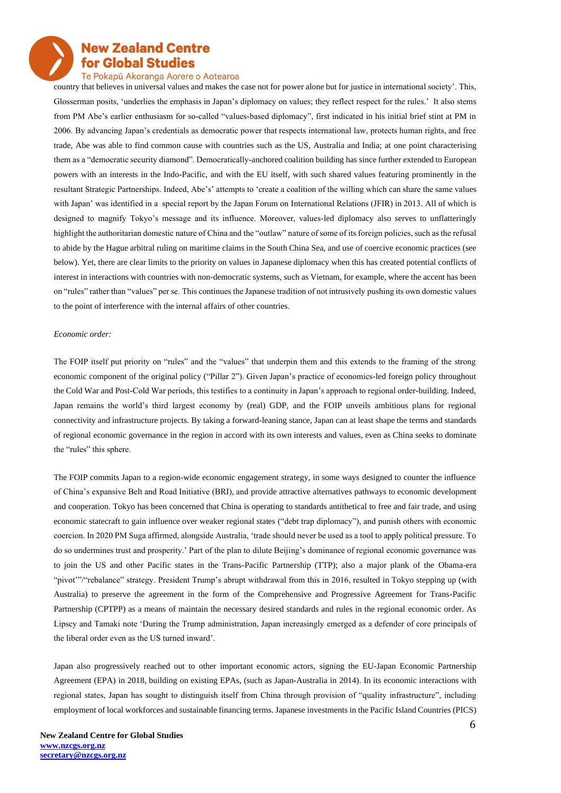### Te Pokapū Akoranga Aorere o Aotearoa

country that believes in universal values and makes the case not for power alone but for justice in international society'. This, Glosserman posits, 'underlies the emphasis in Japan's diplomacy on values; they reflect respect for the rules.' It also stems from PM Abe's earlier enthusiasm for so-called "values-based diplomacy", first indicated in his initial brief stint at PM in 2006. By advancing Japan's credentials as democratic power that respects international law, protects human rights, and free trade, Abe was able to find common cause with countries such as the US, Australia and India; at one point characterising them as a "democratic security diamond". Democratically-anchored coalition building has since further extended to European powers with an interests in the Indo-Pacific, and with the EU itself, with such shared values featuring prominently in the resultant Strategic Partnerships. Indeed, Abe's' attempts to 'create a coalition of the willing which can share the same values with Japan' was identified in a special report by the Japan Forum on International Relations (JFIR) in 2013. All of which is designed to magnify Tokyo's message and its influence. Moreover, values-led diplomacy also serves to unflatteringly highlight the authoritarian domestic nature of China and the "outlaw" nature of some of its foreign policies, such as the refusal to abide by the Hague arbitral ruling on maritime claims in the South China Sea, and use of coercive economic practices (see below). Yet, there are clear limits to the priority on values in Japanese diplomacy when this has created potential conflicts of interest in interactions with countries with non-democratic systems, such as Vietnam, for example, where the accent has been on "rules" rather than "values" per se. This continues the Japanese tradition of not intrusively pushing its own domestic values to the point of interference with the internal affairs of other countries.

#### *Economic order:*

The FOIP itself put priority on "rules" and the "values" that underpin them and this extends to the framing of the strong economic component of the original policy ("Pillar 2"). Given Japan's practice of economics-led foreign policy throughout the Cold War and Post-Cold War periods, this testifies to a continuity in Japan's approach to regional order-building. Indeed, Japan remains the world's third largest economy by (real) GDP, and the FOIP unveils ambitious plans for regional connectivity and infrastructure projects. By taking a forward-leaning stance, Japan can at least shape the terms and standards of regional economic governance in the region in accord with its own interests and values, even as China seeks to dominate the "rules" this sphere.

The FOIP commits Japan to a region-wide economic engagement strategy, in some ways designed to counter the influence of China's expansive Belt and Road Initiative (BRI), and provide attractive alternatives pathways to economic development and cooperation. Tokyo has been concerned that China is operating to standards antithetical to free and fair trade, and using economic statecraft to gain influence over weaker regional states ("debt trap diplomacy"), and punish others with economic coercion. In 2020 PM Suga affirmed, alongside Australia, 'trade should never be used as a tool to apply political pressure. To do so undermines trust and prosperity.' Part of the plan to dilute Beijing's dominance of regional economic governance was to join the US and other Pacific states in the Trans-Pacific Partnership (TTP); also a major plank of the Obama-era "pivot'"/"rebalance" strategy. President Trump's abrupt withdrawal from this in 2016, resulted in Tokyo stepping up (with Australia) to preserve the agreement in the form of the Comprehensive and Progressive Agreement for Trans-Pacific Partnership (CPTPP) as a means of maintain the necessary desired standards and rules in the regional economic order. As Lipscy and Tamaki note 'During the Trump administration, Japan increasingly emerged as a defender of core principals of the liberal order even as the US turned inward'.

Japan also progressively reached out to other important economic actors, signing the EU-Japan Economic Partnership Agreement (EPA) in 2018, building on existing EPAs, (such as Japan-Australia in 2014). In its economic interactions with regional states, Japan has sought to distinguish itself from China through provision of "quality infrastructure", including employment of local workforces and sustainable financing terms. Japanese investments in the Pacific Island Countries (PICS)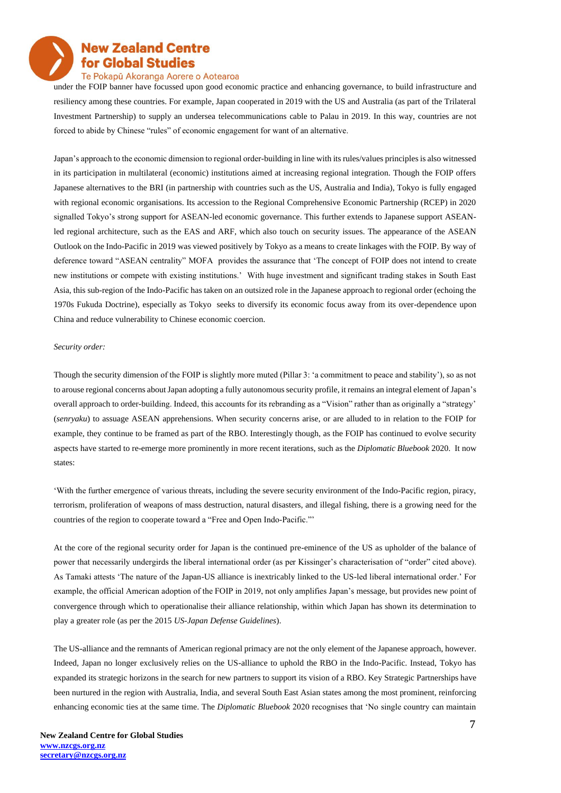#### Te Pokapū Akoranga Aorere o Aotearoa

under the FOIP banner have focussed upon good economic practice and enhancing governance, to build infrastructure and resiliency among these countries. For example, Japan cooperated in 2019 with the US and Australia (as part of the Trilateral Investment Partnership) to supply an undersea telecommunications cable to Palau in 2019. In this way, countries are not forced to abide by Chinese "rules" of economic engagement for want of an alternative.

Japan's approach to the economic dimension to regional order-building in line with its rules/values principles is also witnessed in its participation in multilateral (economic) institutions aimed at increasing regional integration. Though the FOIP offers Japanese alternatives to the BRI (in partnership with countries such as the US, Australia and India), Tokyo is fully engaged with regional economic organisations. Its accession to the Regional Comprehensive Economic Partnership (RCEP) in 2020 signalled Tokyo's strong support for ASEAN-led economic governance. This further extends to Japanese support ASEANled regional architecture, such as the EAS and ARF, which also touch on security issues. The appearance of the ASEAN Outlook on the Indo-Pacific in 2019 was viewed positively by Tokyo as a means to create linkages with the FOIP. By way of deference toward "ASEAN centrality" MOFA provides the assurance that 'The concept of FOIP does not intend to create new institutions or compete with existing institutions.' With huge investment and significant trading stakes in South East Asia, this sub-region of the Indo-Pacific has taken on an outsized role in the Japanese approach to regional order (echoing the 1970s Fukuda Doctrine), especially as Tokyo seeks to diversify its economic focus away from its over-dependence upon China and reduce vulnerability to Chinese economic coercion.

#### *Security order:*

Though the security dimension of the FOIP is slightly more muted (Pillar 3: 'a commitment to peace and stability'), so as not to arouse regional concerns about Japan adopting a fully autonomous security profile, it remains an integral element of Japan's overall approach to order-building. Indeed, this accounts for its rebranding as a "Vision" rather than as originally a "strategy' (*senryaku*) to assuage ASEAN apprehensions. When security concerns arise, or are alluded to in relation to the FOIP for example, they continue to be framed as part of the RBO. Interestingly though, as the FOIP has continued to evolve security aspects have started to re-emerge more prominently in more recent iterations, such as the *Diplomatic Bluebook* 2020. It now states:

'With the further emergence of various threats, including the severe security environment of the Indo-Pacific region, piracy, terrorism, proliferation of weapons of mass destruction, natural disasters, and illegal fishing, there is a growing need for the countries of the region to cooperate toward a "Free and Open Indo-Pacific."'

At the core of the regional security order for Japan is the continued pre-eminence of the US as upholder of the balance of power that necessarily undergirds the liberal international order (as per Kissinger's characterisation of "order" cited above). As Tamaki attests 'The nature of the Japan-US alliance is inextricably linked to the US-led liberal international order.' For example, the official American adoption of the FOIP in 2019, not only amplifies Japan's message, but provides new point of convergence through which to operationalise their alliance relationship, within which Japan has shown its determination to play a greater role (as per the 2015 *US-Japan Defense Guidelines*).

The US-alliance and the remnants of American regional primacy are not the only element of the Japanese approach, however. Indeed, Japan no longer exclusively relies on the US-alliance to uphold the RBO in the Indo-Pacific. Instead, Tokyo has expanded its strategic horizons in the search for new partners to support its vision of a RBO. Key Strategic Partnerships have been nurtured in the region with Australia, India, and several South East Asian states among the most prominent, reinforcing enhancing economic ties at the same time. The *Diplomatic Bluebook* 2020 recognises that 'No single country can maintain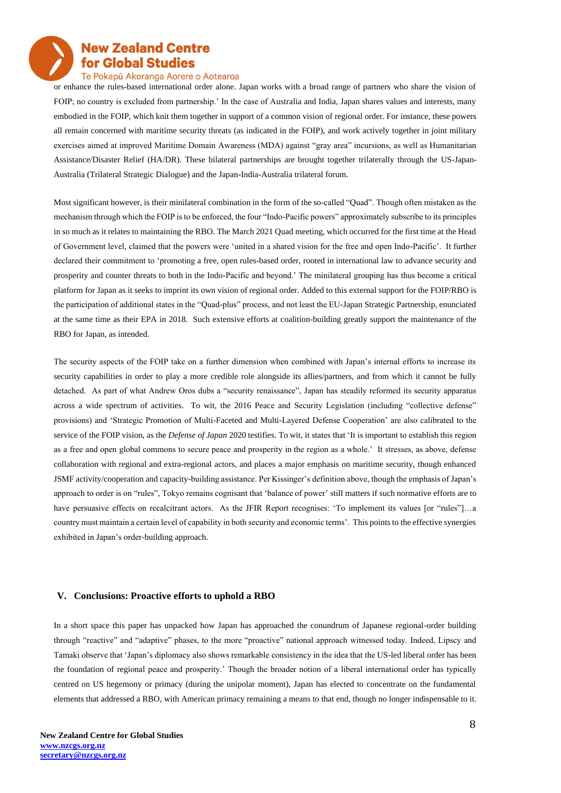

### Te Pokapū Akoranga Aorere o Aotearoa

or enhance the rules-based international order alone. Japan works with a broad range of partners who share the vision of FOIP; no country is excluded from partnership.' In the case of Australia and India, Japan shares values and interests, many embodied in the FOIP, which knit them together in support of a common vision of regional order. For instance, these powers all remain concerned with maritime security threats (as indicated in the FOIP), and work actively together in joint military exercises aimed at improved Maritime Domain Awareness (MDA) against "gray area" incursions, as well as Humanitarian Assistance/Disaster Relief (HA/DR). These bilateral partnerships are brought together trilaterally through the US-Japan-Australia (Trilateral Strategic Dialogue) and the Japan-India-Australia trilateral forum.

Most significant however, is their minilateral combination in the form of the so-called "Quad". Though often mistaken as the mechanism through which the FOIP is to be enforced, the four "Indo-Pacific powers" approximately subscribe to its principles in so much as it relates to maintaining the RBO. The March 2021 Quad meeting, which occurred for the first time at the Head of Government level, claimed that the powers were 'united in a shared vision for the free and open Indo-Pacific'. It further declared their commitment to 'promoting a free, open rules-based order, rooted in international law to advance security and prosperity and counter threats to both in the Indo-Pacific and beyond.' The minilateral grouping has thus become a critical platform for Japan as it seeks to imprint its own vision of regional order. Added to this external support for the FOIP/RBO is the participation of additional states in the "Quad-plus" process, and not least the EU-Japan Strategic Partnership, enunciated at the same time as their EPA in 2018. Such extensive efforts at coalition-building greatly support the maintenance of the RBO for Japan, as intended.

The security aspects of the FOIP take on a further dimension when combined with Japan's internal efforts to increase its security capabilities in order to play a more credible role alongside its allies/partners, and from which it cannot be fully detached. As part of what Andrew Oros dubs a "security renaissance", Japan has steadily reformed its security apparatus across a wide spectrum of activities. To wit, the 2016 Peace and Security Legislation (including "collective defense" provisions) and 'Strategic Promotion of Multi-Faceted and Multi-Layered Defense Cooperation' are also calibrated to the service of the FOIP vision, as the *Defense of Japan* 2020 testifies. To wit, it states that 'It is important to establish this region as a free and open global commons to secure peace and prosperity in the region as a whole.' It stresses, as above, defense collaboration with regional and extra-regional actors, and places a major emphasis on maritime security, though enhanced JSMF activity/cooperation and capacity-building assistance. Per Kissinger's definition above, though the emphasis of Japan's approach to order is on "rules", Tokyo remains cognisant that 'balance of power' still matters if such normative efforts are to have persuasive effects on recalcitrant actors. As the JFIR Report recognises: 'To implement its values [or "rules"]...a country must maintain a certain level of capability in both security and economic terms'. This points to the effective synergies exhibited in Japan's order-building approach.

#### **V. Conclusions: Proactive efforts to uphold a RBO**

In a short space this paper has unpacked how Japan has approached the conundrum of Japanese regional-order building through "reactive" and "adaptive" phases, to the more "proactive" national approach witnessed today. Indeed, Lipscy and Tamaki observe that 'Japan's diplomacy also shows remarkable consistency in the idea that the US-led liberal order has been the foundation of regional peace and prosperity.' Though the broader notion of a liberal international order has typically centred on US hegemony or primacy (during the unipolar moment), Japan has elected to concentrate on the fundamental elements that addressed a RBO, with American primacy remaining a means to that end, though no longer indispensable to it.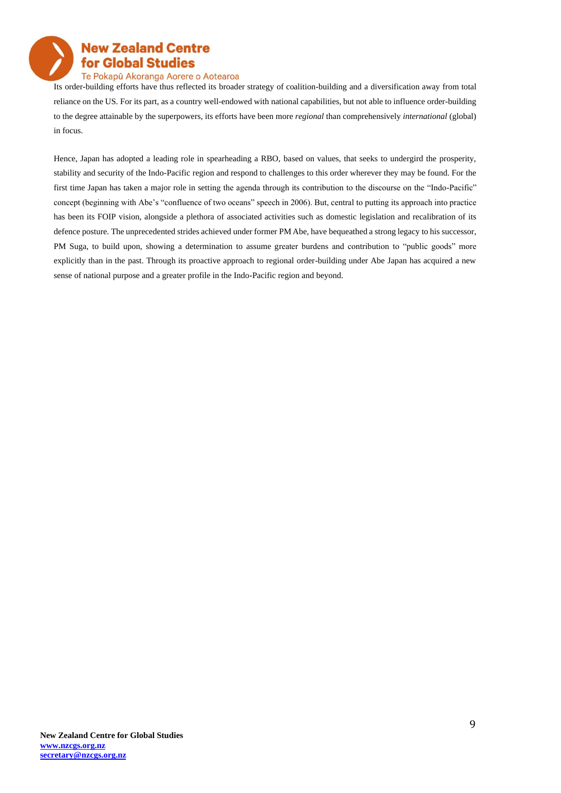

#### Te Pokapū Akoranga Aorere o Aotearoa

Its order-building efforts have thus reflected its broader strategy of coalition-building and a diversification away from total reliance on the US. For its part, as a country well-endowed with national capabilities, but not able to influence order-building to the degree attainable by the superpowers, its efforts have been more *regional* than comprehensively *international* (global) in focus.

Hence, Japan has adopted a leading role in spearheading a RBO, based on values, that seeks to undergird the prosperity, stability and security of the Indo-Pacific region and respond to challenges to this order wherever they may be found. For the first time Japan has taken a major role in setting the agenda through its contribution to the discourse on the "Indo-Pacific" concept (beginning with Abe's "confluence of two oceans" speech in 2006). But, central to putting its approach into practice has been its FOIP vision, alongside a plethora of associated activities such as domestic legislation and recalibration of its defence posture. The unprecedented strides achieved under former PM Abe, have bequeathed a strong legacy to his successor, PM Suga, to build upon, showing a determination to assume greater burdens and contribution to "public goods" more explicitly than in the past. Through its proactive approach to regional order-building under Abe Japan has acquired a new sense of national purpose and a greater profile in the Indo-Pacific region and beyond.